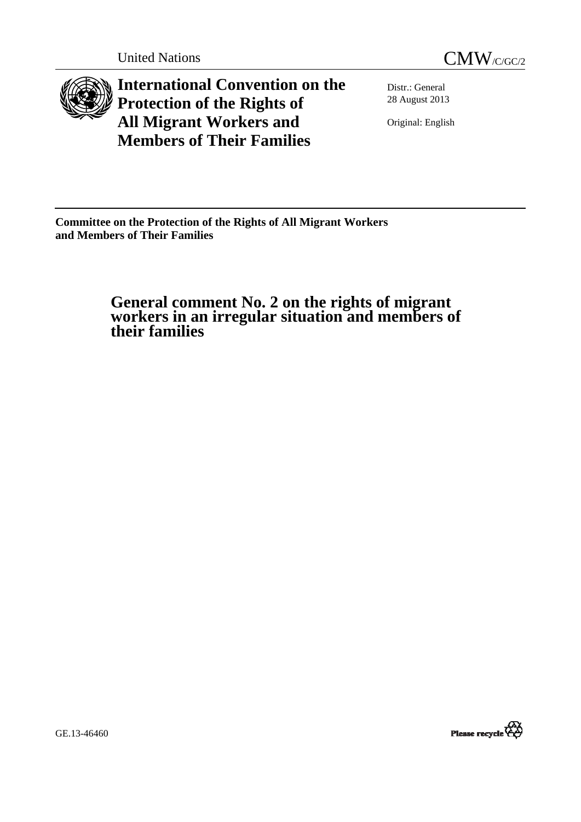



**International Convention on the Protection of the Rights of All Migrant Workers and Members of Their Families**

Distr.: General 28 August 2013

Original: English

**Committee on the Protection of the Rights of All Migrant Workers and Members of Their Families** 

 **General comment No. 2 on the rights of migrant workers in an irregular situation and members of their families** 

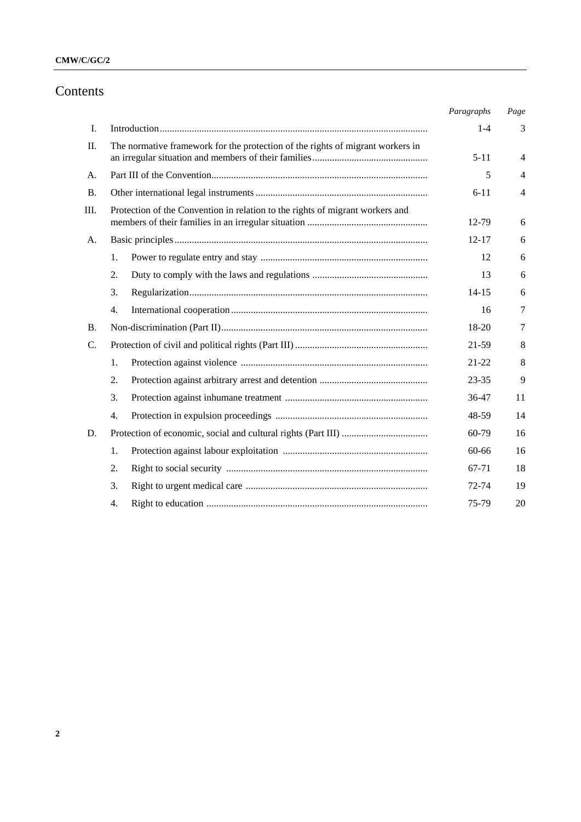## **CMW/C/GC/2**

# Contents

|           |                                                                                | Paragraphs | Page           |
|-----------|--------------------------------------------------------------------------------|------------|----------------|
| I.        |                                                                                | $1 - 4$    | 3              |
| П.        | The normative framework for the protection of the rights of migrant workers in | $5 - 11$   | $\overline{4}$ |
| A.        |                                                                                | 5          | $\overline{4}$ |
| <b>B.</b> |                                                                                | $6 - 11$   | $\overline{4}$ |
| III.      | Protection of the Convention in relation to the rights of migrant workers and  | 12-79      | 6              |
| A.        |                                                                                | $12 - 17$  | 6              |
|           | 1.                                                                             | 12         | 6              |
|           | 2.                                                                             | 13         | 6              |
|           | 3.                                                                             | $14 - 15$  | 6              |
|           | 4.                                                                             | 16         | 7              |
| <b>B.</b> |                                                                                | 18-20      | 7              |
| C.        |                                                                                | 21-59      | 8              |
|           | 1.                                                                             | $21 - 22$  | 8              |
|           | 2.                                                                             | $23 - 35$  | 9              |
|           | 3.                                                                             | 36-47      | 11             |
|           | 4.                                                                             | 48-59      | 14             |
| D.        |                                                                                | 60-79      | 16             |
|           | 1.                                                                             | 60-66      | 16             |
|           | 2.                                                                             | 67-71      | 18             |
|           | 3.                                                                             | 72-74      | 19             |
|           | 4.                                                                             | 75-79      | 20             |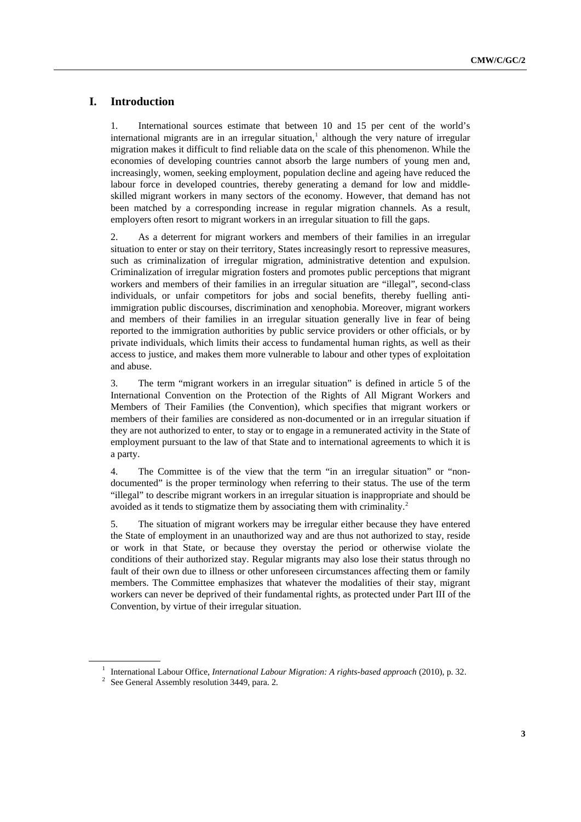## **I. Introduction**

1. International sources estimate that between 10 and 15 per cent of the world's international migrants are in an irregular situation,<sup>[1](#page-2-0)</sup> although the very nature of irregular migration makes it difficult to find reliable data on the scale of this phenomenon. While the economies of developing countries cannot absorb the large numbers of young men and, increasingly, women, seeking employment, population decline and ageing have reduced the labour force in developed countries, thereby generating a demand for low and middleskilled migrant workers in many sectors of the economy. However, that demand has not been matched by a corresponding increase in regular migration channels. As a result, employers often resort to migrant workers in an irregular situation to fill the gaps.

2. As a deterrent for migrant workers and members of their families in an irregular situation to enter or stay on their territory, States increasingly resort to repressive measures, such as criminalization of irregular migration, administrative detention and expulsion. Criminalization of irregular migration fosters and promotes public perceptions that migrant workers and members of their families in an irregular situation are "illegal", second-class individuals, or unfair competitors for jobs and social benefits, thereby fuelling antiimmigration public discourses, discrimination and xenophobia. Moreover, migrant workers and members of their families in an irregular situation generally live in fear of being reported to the immigration authorities by public service providers or other officials, or by private individuals, which limits their access to fundamental human rights, as well as their access to justice, and makes them more vulnerable to labour and other types of exploitation and abuse.

3. The term "migrant workers in an irregular situation" is defined in article 5 of the International Convention on the Protection of the Rights of All Migrant Workers and Members of Their Families (the Convention), which specifies that migrant workers or members of their families are considered as non-documented or in an irregular situation if they are not authorized to enter, to stay or to engage in a remunerated activity in the State of employment pursuant to the law of that State and to international agreements to which it is a party.

4. The Committee is of the view that the term "in an irregular situation" or "nondocumented" is the proper terminology when referring to their status. The use of the term "illegal" to describe migrant workers in an irregular situation is inappropriate and should be avoided as it tends to stigmatize them by associating them with criminality.[2](#page-2-1)

5. The situation of migrant workers may be irregular either because they have entered the State of employment in an unauthorized way and are thus not authorized to stay, reside or work in that State, or because they overstay the period or otherwise violate the conditions of their authorized stay. Regular migrants may also lose their status through no fault of their own due to illness or other unforeseen circumstances affecting them or family members. The Committee emphasizes that whatever the modalities of their stay, migrant workers can never be deprived of their fundamental rights, as protected under Part III of the Convention, by virtue of their irregular situation.

<sup>&</sup>lt;sup>1</sup> International Labour Office, *International Labour Migration: A rights-based approach* (2010), p. 32.

<span id="page-2-1"></span><span id="page-2-0"></span> $2\text{ See General Assembly resolution } 3449$ , para. 2.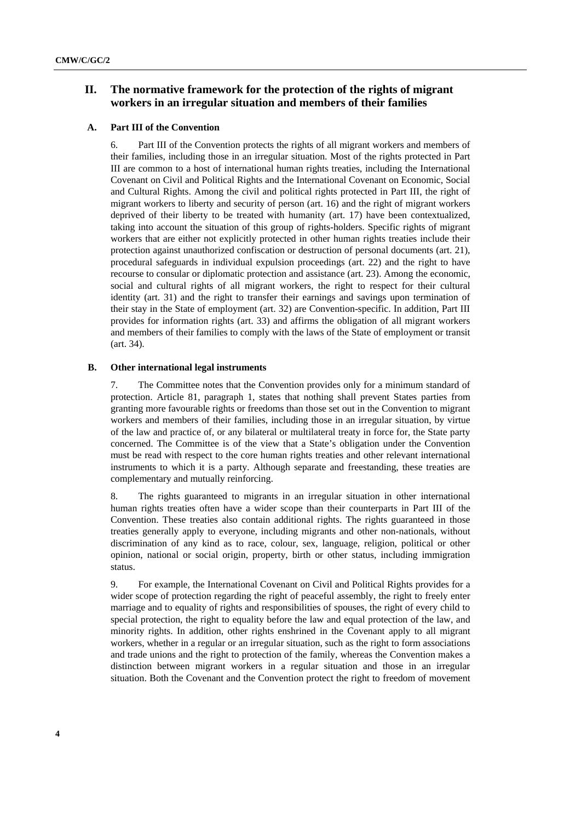## **II. The normative framework for the protection of the rights of migrant workers in an irregular situation and members of their families**

## **A. Part III of the Convention**

6. Part III of the Convention protects the rights of all migrant workers and members of their families, including those in an irregular situation. Most of the rights protected in Part III are common to a host of international human rights treaties, including the International Covenant on Civil and Political Rights and the International Covenant on Economic, Social and Cultural Rights. Among the civil and political rights protected in Part III, the right of migrant workers to liberty and security of person (art. 16) and the right of migrant workers deprived of their liberty to be treated with humanity (art. 17) have been contextualized, taking into account the situation of this group of rights-holders. Specific rights of migrant workers that are either not explicitly protected in other human rights treaties include their protection against unauthorized confiscation or destruction of personal documents (art. 21), procedural safeguards in individual expulsion proceedings (art. 22) and the right to have recourse to consular or diplomatic protection and assistance (art. 23). Among the economic, social and cultural rights of all migrant workers, the right to respect for their cultural identity (art. 31) and the right to transfer their earnings and savings upon termination of their stay in the State of employment (art. 32) are Convention-specific. In addition, Part III provides for information rights (art. 33) and affirms the obligation of all migrant workers and members of their families to comply with the laws of the State of employment or transit (art. 34).

#### **B. Other international legal instruments**

7. The Committee notes that the Convention provides only for a minimum standard of protection. Article 81, paragraph 1, states that nothing shall prevent States parties from granting more favourable rights or freedoms than those set out in the Convention to migrant workers and members of their families, including those in an irregular situation, by virtue of the law and practice of, or any bilateral or multilateral treaty in force for, the State party concerned. The Committee is of the view that a State's obligation under the Convention must be read with respect to the core human rights treaties and other relevant international instruments to which it is a party. Although separate and freestanding, these treaties are complementary and mutually reinforcing.

8. The rights guaranteed to migrants in an irregular situation in other international human rights treaties often have a wider scope than their counterparts in Part III of the Convention. These treaties also contain additional rights. The rights guaranteed in those treaties generally apply to everyone, including migrants and other non-nationals, without discrimination of any kind as to race, colour, sex, language, religion, political or other opinion, national or social origin, property, birth or other status, including immigration status.

9. For example, the International Covenant on Civil and Political Rights provides for a wider scope of protection regarding the right of peaceful assembly, the right to freely enter marriage and to equality of rights and responsibilities of spouses, the right of every child to special protection, the right to equality before the law and equal protection of the law, and minority rights. In addition, other rights enshrined in the Covenant apply to all migrant workers, whether in a regular or an irregular situation, such as the right to form associations and trade unions and the right to protection of the family, whereas the Convention makes a distinction between migrant workers in a regular situation and those in an irregular situation. Both the Covenant and the Convention protect the right to freedom of movement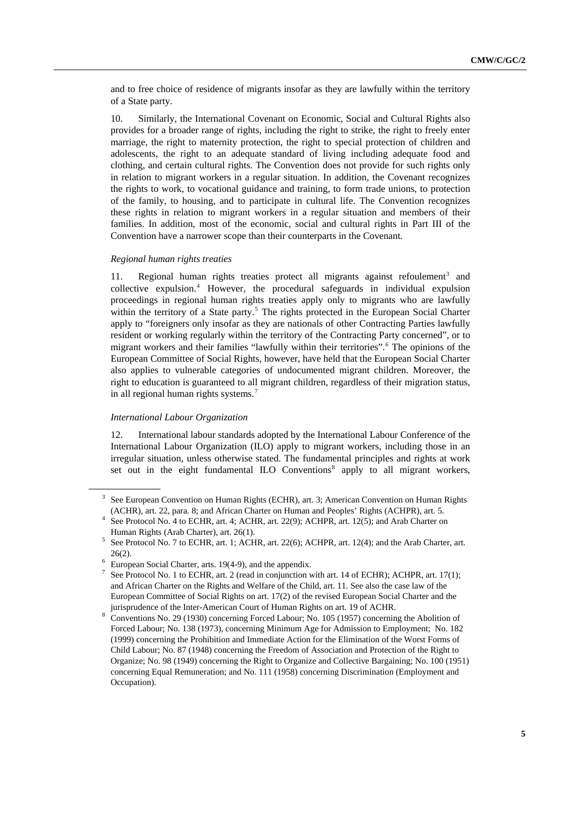and to free choice of residence of migrants insofar as they are lawfully within the territory of a State party.

10. Similarly, the International Covenant on Economic, Social and Cultural Rights also provides for a broader range of rights, including the right to strike, the right to freely enter marriage, the right to maternity protection, the right to special protection of children and adolescents, the right to an adequate standard of living including adequate food and clothing, and certain cultural rights. The Convention does not provide for such rights only in relation to migrant workers in a regular situation. In addition, the Covenant recognizes the rights to work, to vocational guidance and training, to form trade unions, to protection of the family, to housing, and to participate in cultural life. The Convention recognizes these rights in relation to migrant workers in a regular situation and members of their families. In addition, most of the economic, social and cultural rights in Part III of the Convention have a narrower scope than their counterparts in the Covenant.

#### *Regional human rights treaties*

11. Regional human rights treaties protect all migrants against refoulement<sup>[3](#page-4-0)</sup> and collective expulsion.[4](#page-4-1) However, the procedural safeguards in individual expulsion proceedings in regional human rights treaties apply only to migrants who are lawfully within the territory of a State party.<sup>[5](#page-4-2)</sup> The rights protected in the European Social Charter apply to "foreigners only insofar as they are nationals of other Contracting Parties lawfully resident or working regularly within the territory of the Contracting Party concerned", or to migrant workers and their families "lawfully within their territories".[6](#page-4-3) The opinions of the European Committee of Social Rights, however, have held that the European Social Charter also applies to vulnerable categories of undocumented migrant children. Moreover, the right to education is guaranteed to all migrant children, regardless of their migration status, in all regional human rights systems.<sup>[7](#page-4-4)</sup>

#### *International Labour Organization*

12. International labour standards adopted by the International Labour Conference of the International Labour Organization (ILO) apply to migrant workers, including those in an irregular situation, unless otherwise stated. The fundamental principles and rights at work set out in the eight fundamental ILO Conventions $<sup>8</sup>$  $<sup>8</sup>$  $<sup>8</sup>$  apply to all migrant workers,</sup>

<span id="page-4-0"></span><sup>3</sup> See European Convention on Human Rights (ECHR), art. 3; American Convention on Human Rights (ACHR), art. 22, para. 8; and African Charter on Human and Peoples' Rights (ACHPR), art. 5. 4

<span id="page-4-1"></span>See Protocol No. 4 to ECHR, art. 4; ACHR, art. 22(9); ACHPR, art. 12(5); and Arab Charter on Human Rights (Arab Charter), art. 26(1).

<span id="page-4-2"></span>See Protocol No. 7 to ECHR, art. 1; ACHR, art. 22(6); ACHPR, art. 12(4); and the Arab Charter, art.

<span id="page-4-3"></span><sup>26(2).&</sup>lt;br>
<sup>6</sup> European Social Charter, arts. 19(4-9), and the appendix.<br>
<sup>7</sup> See Protocol No. 1 to ECUB, art. 2 (read in conjunction v

<span id="page-4-4"></span>See Protocol No. 1 to ECHR, art. 2 (read in conjunction with art. 14 of ECHR); ACHPR, art. 17(1); and African Charter on the Rights and Welfare of the Child, art. 11. See also the case law of the European Committee of Social Rights on art. 17(2) of the revised European Social Charter and the

<span id="page-4-5"></span>jurisprudence of the Inter-American Court of Human Rights on art. 19 of ACHR.<br><sup>8</sup> Conventions No. 29 (1930) concerning Forced Labour; No. 105 (1957) concerning the Abolition of Forced Labour; No. 138 (1973), concerning Minimum Age for Admission to Employment; No. 182 (1999) concerning the Prohibition and Immediate Action for the Elimination of the Worst Forms of Child Labour; No. 87 (1948) concerning the Freedom of Association and Protection of the Right to Organize; No. 98 (1949) concerning the Right to Organize and Collective Bargaining; No. 100 (1951) concerning Equal Remuneration; and No. 111 (1958) concerning Discrimination (Employment and Occupation).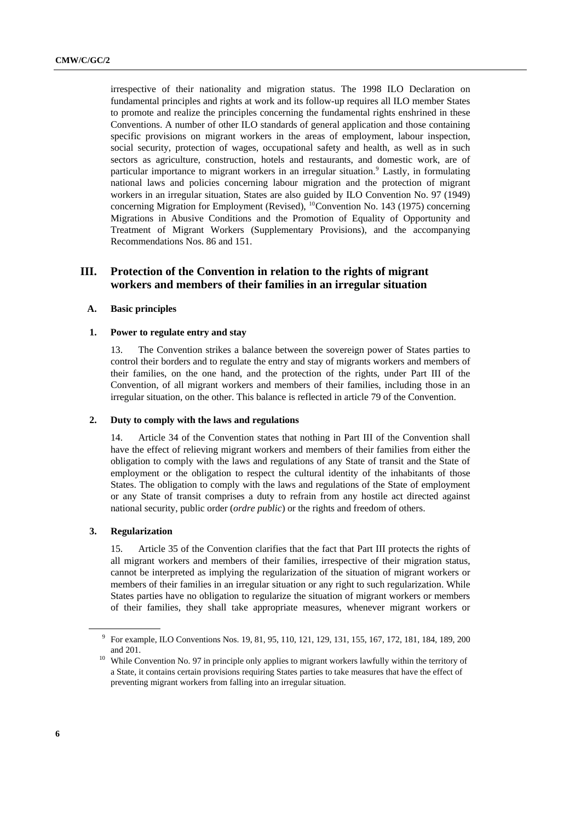irrespective of their nationality and migration status. The 1998 ILO Declaration on fundamental principles and rights at work and its follow-up requires all ILO member States to promote and realize the principles concerning the fundamental rights enshrined in these Conventions. A number of other ILO standards of general application and those containing specific provisions on migrant workers in the areas of employment, labour inspection, social security, protection of wages, occupational safety and health, as well as in such sectors as agriculture, construction, hotels and restaurants, and domestic work, are of particular importance to migrant workers in an irregular situation.<sup>[9](#page-5-0)</sup> Lastly, in formulating national laws and policies concerning labour migration and the protection of migrant workers in an irregular situation, States are also guided by ILO Convention No. 97 (1949) concerning Migration for Employment (Revised), <sup>[10](#page-5-1)</sup>Convention No. 143 (1975) concerning Migrations in Abusive Conditions and the Promotion of Equality of Opportunity and Treatment of Migrant Workers (Supplementary Provisions), and the accompanying Recommendations Nos. 86 and 151.

## **III. Protection of the Convention in relation to the rights of migrant workers and members of their families in an irregular situation**

#### **A. Basic principles**

#### **1. Power to regulate entry and stay**

13. The Convention strikes a balance between the sovereign power of States parties to control their borders and to regulate the entry and stay of migrants workers and members of their families, on the one hand, and the protection of the rights, under Part III of the Convention, of all migrant workers and members of their families, including those in an irregular situation, on the other. This balance is reflected in article 79 of the Convention.

#### **2. Duty to comply with the laws and regulations**

14. Article 34 of the Convention states that nothing in Part III of the Convention shall have the effect of relieving migrant workers and members of their families from either the obligation to comply with the laws and regulations of any State of transit and the State of employment or the obligation to respect the cultural identity of the inhabitants of those States. The obligation to comply with the laws and regulations of the State of employment or any State of transit comprises a duty to refrain from any hostile act directed against national security, public order (*ordre public*) or the rights and freedom of others.

#### **3. Regularization**

15. Article 35 of the Convention clarifies that the fact that Part III protects the rights of all migrant workers and members of their families, irrespective of their migration status, cannot be interpreted as implying the regularization of the situation of migrant workers or members of their families in an irregular situation or any right to such regularization. While States parties have no obligation to regularize the situation of migrant workers or members of their families, they shall take appropriate measures, whenever migrant workers or

<span id="page-5-0"></span><sup>9</sup> For example, ILO Conventions Nos. 19, 81, 95, 110, 121, 129, 131, 155, 167, 172, 181, 184, 189, 200 and 201. 10 While Convention No. 97 in principle only applies to migrant workers lawfully within the territory of

<span id="page-5-1"></span>a State, it contains certain provisions requiring States parties to take measures that have the effect of preventing migrant workers from falling into an irregular situation.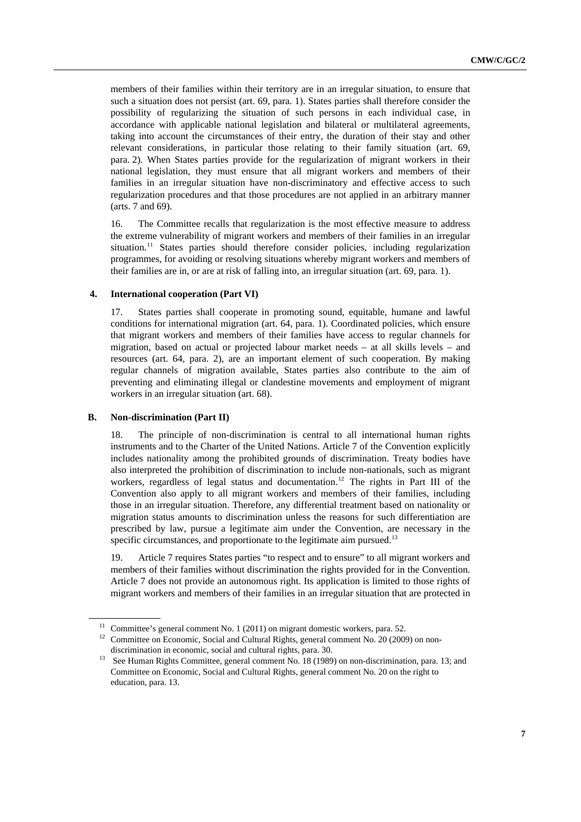members of their families within their territory are in an irregular situation, to ensure that such a situation does not persist (art. 69, para. 1). States parties shall therefore consider the possibility of regularizing the situation of such persons in each individual case, in accordance with applicable national legislation and bilateral or multilateral agreements, taking into account the circumstances of their entry, the duration of their stay and other relevant considerations, in particular those relating to their family situation (art. 69, para. 2). When States parties provide for the regularization of migrant workers in their national legislation, they must ensure that all migrant workers and members of their families in an irregular situation have non-discriminatory and effective access to such regularization procedures and that those procedures are not applied in an arbitrary manner (arts. 7 and 69).

16. The Committee recalls that regularization is the most effective measure to address the extreme vulnerability of migrant workers and members of their families in an irregular situation.<sup>[11](#page-6-0)</sup> States parties should therefore consider policies, including regularization programmes, for avoiding or resolving situations whereby migrant workers and members of their families are in, or are at risk of falling into, an irregular situation (art. 69, para. 1).

### **4. International cooperation (Part VI)**

17. States parties shall cooperate in promoting sound, equitable, humane and lawful conditions for international migration (art. 64, para. 1). Coordinated policies, which ensure that migrant workers and members of their families have access to regular channels for migration, based on actual or projected labour market needs – at all skills levels – and resources (art. 64, para. 2), are an important element of such cooperation. By making regular channels of migration available, States parties also contribute to the aim of preventing and eliminating illegal or clandestine movements and employment of migrant workers in an irregular situation (art. 68).

#### **B. Non-discrimination (Part II)**

18. The principle of non-discrimination is central to all international human rights instruments and to the Charter of the United Nations. Article 7 of the Convention explicitly includes nationality among the prohibited grounds of discrimination. Treaty bodies have also interpreted the prohibition of discrimination to include non-nationals, such as migrant workers, regardless of legal status and documentation.<sup>[12](#page-6-1)</sup> The rights in Part III of the Convention also apply to all migrant workers and members of their families, including those in an irregular situation. Therefore, any differential treatment based on nationality or migration status amounts to discrimination unless the reasons for such differentiation are prescribed by law, pursue a legitimate aim under the Convention, are necessary in the specific circumstances, and proportionate to the legitimate aim pursued.<sup>[13](#page-6-2)</sup>

19. Article 7 requires States parties "to respect and to ensure" to all migrant workers and members of their families without discrimination the rights provided for in the Convention. Article 7 does not provide an autonomous right. Its application is limited to those rights of migrant workers and members of their families in an irregular situation that are protected in

<span id="page-6-1"></span><span id="page-6-0"></span><sup>&</sup>lt;sup>11</sup> Committee's general comment No. 1 (2011) on migrant domestic workers, para. 52.<br><sup>12</sup> Committee on Economic, Social and Cultural Rights, general comment No. 20 (2009) on nondiscrimination in economic, social and cultural rights, para. 30.<br><sup>13</sup> See Human Rights Committee, general comment No. 18 (1989) on non-discrimination, para. 13; and

<span id="page-6-2"></span>Committee on Economic, Social and Cultural Rights, general comment No. 20 on the right to education, para. 13.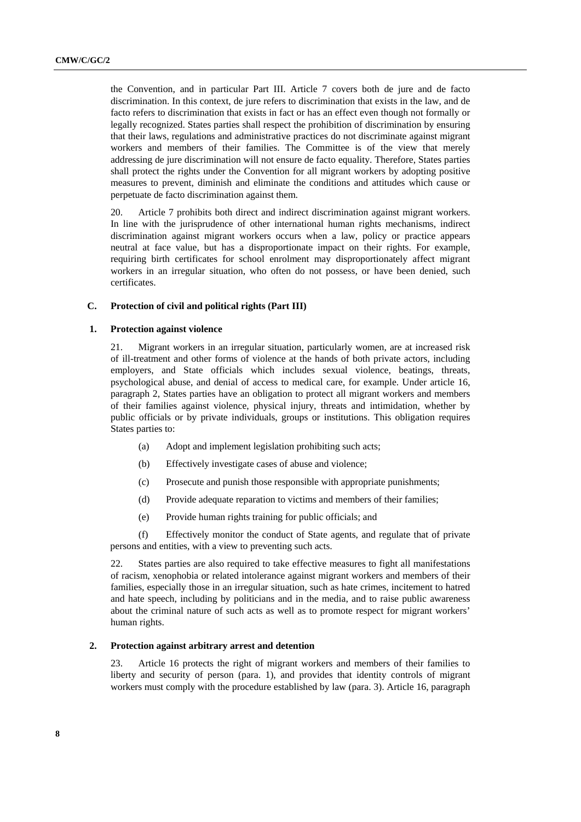the Convention, and in particular Part III. Article 7 covers both de jure and de facto discrimination. In this context, de jure refers to discrimination that exists in the law, and de facto refers to discrimination that exists in fact or has an effect even though not formally or legally recognized. States parties shall respect the prohibition of discrimination by ensuring that their laws, regulations and administrative practices do not discriminate against migrant workers and members of their families. The Committee is of the view that merely addressing de jure discrimination will not ensure de facto equality. Therefore, States parties shall protect the rights under the Convention for all migrant workers by adopting positive measures to prevent, diminish and eliminate the conditions and attitudes which cause or perpetuate de facto discrimination against them.

20. Article 7 prohibits both direct and indirect discrimination against migrant workers. In line with the jurisprudence of other international human rights mechanisms, indirect discrimination against migrant workers occurs when a law, policy or practice appears neutral at face value, but has a disproportionate impact on their rights. For example, requiring birth certificates for school enrolment may disproportionately affect migrant workers in an irregular situation, who often do not possess, or have been denied, such certificates.

## **C. Protection of civil and political rights (Part III)**

## **1. Protection against violence**

21. Migrant workers in an irregular situation, particularly women, are at increased risk of ill-treatment and other forms of violence at the hands of both private actors, including employers, and State officials which includes sexual violence, beatings, threats, psychological abuse, and denial of access to medical care, for example. Under article 16, paragraph 2, States parties have an obligation to protect all migrant workers and members of their families against violence, physical injury, threats and intimidation, whether by public officials or by private individuals, groups or institutions. This obligation requires States parties to:

- (a) Adopt and implement legislation prohibiting such acts;
- (b) Effectively investigate cases of abuse and violence;
- (c) Prosecute and punish those responsible with appropriate punishments;
- (d) Provide adequate reparation to victims and members of their families;
- (e) Provide human rights training for public officials; and

(f) Effectively monitor the conduct of State agents, and regulate that of private persons and entities, with a view to preventing such acts.

22. States parties are also required to take effective measures to fight all manifestations of racism, xenophobia or related intolerance against migrant workers and members of their families, especially those in an irregular situation, such as hate crimes, incitement to hatred and hate speech, including by politicians and in the media, and to raise public awareness about the criminal nature of such acts as well as to promote respect for migrant workers' human rights.

## **2. Protection against arbitrary arrest and detention**

23. Article 16 protects the right of migrant workers and members of their families to liberty and security of person (para. 1), and provides that identity controls of migrant workers must comply with the procedure established by law (para. 3). Article 16, paragraph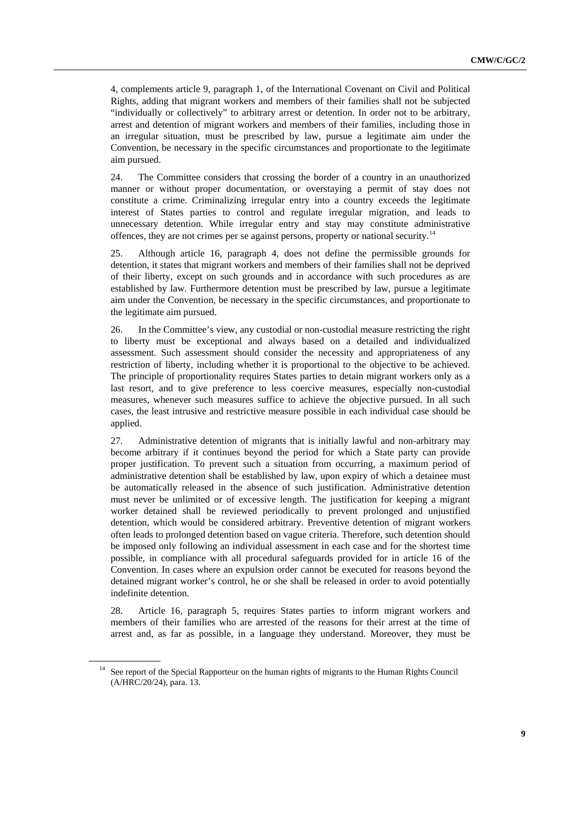4, complements article 9, paragraph 1, of the International Covenant on Civil and Political Rights, adding that migrant workers and members of their families shall not be subjected "individually or collectively" to arbitrary arrest or detention. In order not to be arbitrary, arrest and detention of migrant workers and members of their families, including those in an irregular situation, must be prescribed by law, pursue a legitimate aim under the Convention, be necessary in the specific circumstances and proportionate to the legitimate aim pursued.

24. The Committee considers that crossing the border of a country in an unauthorized manner or without proper documentation, or overstaying a permit of stay does not constitute a crime. Criminalizing irregular entry into a country exceeds the legitimate interest of States parties to control and regulate irregular migration, and leads to unnecessary detention. While irregular entry and stay may constitute administrative offences, they are not crimes per se against persons, property or national security.[14](#page-8-0)

25. Although article 16, paragraph 4, does not define the permissible grounds for detention, it states that migrant workers and members of their families shall not be deprived of their liberty, except on such grounds and in accordance with such procedures as are established by law. Furthermore detention must be prescribed by law, pursue a legitimate aim under the Convention, be necessary in the specific circumstances, and proportionate to the legitimate aim pursued.

26. In the Committee's view, any custodial or non-custodial measure restricting the right to liberty must be exceptional and always based on a detailed and individualized assessment. Such assessment should consider the necessity and appropriateness of any restriction of liberty, including whether it is proportional to the objective to be achieved. The principle of proportionality requires States parties to detain migrant workers only as a last resort, and to give preference to less coercive measures, especially non-custodial measures, whenever such measures suffice to achieve the objective pursued. In all such cases, the least intrusive and restrictive measure possible in each individual case should be applied.

27. Administrative detention of migrants that is initially lawful and non-arbitrary may become arbitrary if it continues beyond the period for which a State party can provide proper justification. To prevent such a situation from occurring, a maximum period of administrative detention shall be established by law, upon expiry of which a detainee must be automatically released in the absence of such justification. Administrative detention must never be unlimited or of excessive length. The justification for keeping a migrant worker detained shall be reviewed periodically to prevent prolonged and unjustified detention, which would be considered arbitrary. Preventive detention of migrant workers often leads to prolonged detention based on vague criteria. Therefore, such detention should be imposed only following an individual assessment in each case and for the shortest time possible, in compliance with all procedural safeguards provided for in article 16 of the Convention. In cases where an expulsion order cannot be executed for reasons beyond the detained migrant worker's control, he or she shall be released in order to avoid potentially indefinite detention.

28. Article 16, paragraph 5, requires States parties to inform migrant workers and members of their families who are arrested of the reasons for their arrest at the time of arrest and, as far as possible, in a language they understand. Moreover, they must be

<span id="page-8-0"></span><sup>&</sup>lt;sup>14</sup> See report of the Special Rapporteur on the human rights of migrants to the Human Rights Council (A/HRC/20/24), para. 13.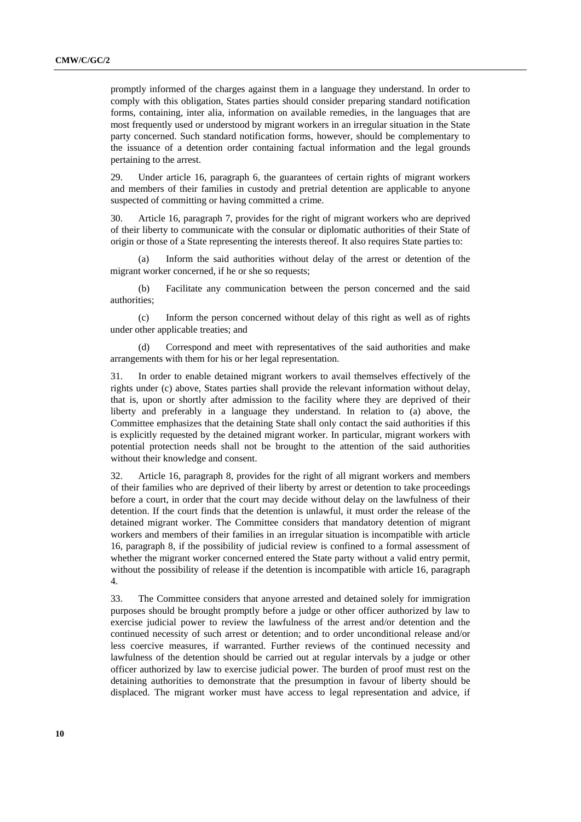promptly informed of the charges against them in a language they understand. In order to comply with this obligation, States parties should consider preparing standard notification forms, containing, inter alia, information on available remedies, in the languages that are most frequently used or understood by migrant workers in an irregular situation in the State party concerned. Such standard notification forms, however, should be complementary to the issuance of a detention order containing factual information and the legal grounds pertaining to the arrest.

29. Under article 16, paragraph 6, the guarantees of certain rights of migrant workers and members of their families in custody and pretrial detention are applicable to anyone suspected of committing or having committed a crime.

30. Article 16, paragraph 7, provides for the right of migrant workers who are deprived of their liberty to communicate with the consular or diplomatic authorities of their State of origin or those of a State representing the interests thereof. It also requires State parties to:

Inform the said authorities without delay of the arrest or detention of the migrant worker concerned, if he or she so requests;

(b) Facilitate any communication between the person concerned and the said authorities;

(c) Inform the person concerned without delay of this right as well as of rights under other applicable treaties; and

Correspond and meet with representatives of the said authorities and make arrangements with them for his or her legal representation.

31. In order to enable detained migrant workers to avail themselves effectively of the rights under (c) above, States parties shall provide the relevant information without delay, that is, upon or shortly after admission to the facility where they are deprived of their liberty and preferably in a language they understand. In relation to (a) above, the Committee emphasizes that the detaining State shall only contact the said authorities if this is explicitly requested by the detained migrant worker. In particular, migrant workers with potential protection needs shall not be brought to the attention of the said authorities without their knowledge and consent.

32. Article 16, paragraph 8, provides for the right of all migrant workers and members of their families who are deprived of their liberty by arrest or detention to take proceedings before a court, in order that the court may decide without delay on the lawfulness of their detention. If the court finds that the detention is unlawful, it must order the release of the detained migrant worker. The Committee considers that mandatory detention of migrant workers and members of their families in an irregular situation is incompatible with article 16, paragraph 8, if the possibility of judicial review is confined to a formal assessment of whether the migrant worker concerned entered the State party without a valid entry permit, without the possibility of release if the detention is incompatible with article 16, paragraph 4.

33. The Committee considers that anyone arrested and detained solely for immigration purposes should be brought promptly before a judge or other officer authorized by law to exercise judicial power to review the lawfulness of the arrest and/or detention and the continued necessity of such arrest or detention; and to order unconditional release and/or less coercive measures, if warranted. Further reviews of the continued necessity and lawfulness of the detention should be carried out at regular intervals by a judge or other officer authorized by law to exercise judicial power. The burden of proof must rest on the detaining authorities to demonstrate that the presumption in favour of liberty should be displaced. The migrant worker must have access to legal representation and advice, if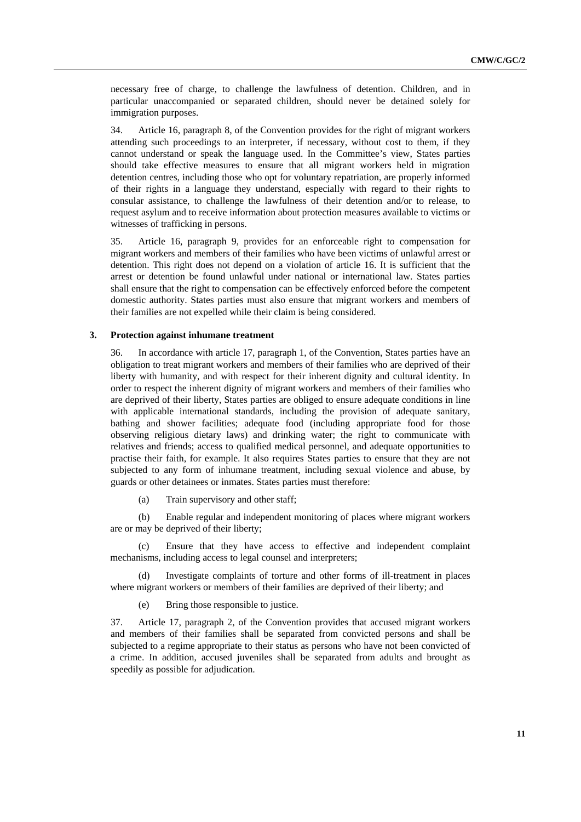necessary free of charge, to challenge the lawfulness of detention. Children, and in particular unaccompanied or separated children, should never be detained solely for immigration purposes.

34. Article 16, paragraph 8, of the Convention provides for the right of migrant workers attending such proceedings to an interpreter, if necessary, without cost to them, if they cannot understand or speak the language used. In the Committee's view, States parties should take effective measures to ensure that all migrant workers held in migration detention centres, including those who opt for voluntary repatriation, are properly informed of their rights in a language they understand, especially with regard to their rights to consular assistance, to challenge the lawfulness of their detention and/or to release, to request asylum and to receive information about protection measures available to victims or witnesses of trafficking in persons.

35. Article 16, paragraph 9, provides for an enforceable right to compensation for migrant workers and members of their families who have been victims of unlawful arrest or detention. This right does not depend on a violation of article 16. It is sufficient that the arrest or detention be found unlawful under national or international law. States parties shall ensure that the right to compensation can be effectively enforced before the competent domestic authority. States parties must also ensure that migrant workers and members of their families are not expelled while their claim is being considered.

#### **3. Protection against inhumane treatment**

36. In accordance with article 17, paragraph 1, of the Convention, States parties have an obligation to treat migrant workers and members of their families who are deprived of their liberty with humanity, and with respect for their inherent dignity and cultural identity. In order to respect the inherent dignity of migrant workers and members of their families who are deprived of their liberty, States parties are obliged to ensure adequate conditions in line with applicable international standards, including the provision of adequate sanitary, bathing and shower facilities; adequate food (including appropriate food for those observing religious dietary laws) and drinking water; the right to communicate with relatives and friends; access to qualified medical personnel, and adequate opportunities to practise their faith, for example. It also requires States parties to ensure that they are not subjected to any form of inhumane treatment, including sexual violence and abuse, by guards or other detainees or inmates. States parties must therefore:

(a) Train supervisory and other staff;

(b) Enable regular and independent monitoring of places where migrant workers are or may be deprived of their liberty;

(c) Ensure that they have access to effective and independent complaint mechanisms, including access to legal counsel and interpreters;

(d) Investigate complaints of torture and other forms of ill-treatment in places where migrant workers or members of their families are deprived of their liberty; and

(e) Bring those responsible to justice.

37. Article 17, paragraph 2, of the Convention provides that accused migrant workers and members of their families shall be separated from convicted persons and shall be subjected to a regime appropriate to their status as persons who have not been convicted of a crime. In addition, accused juveniles shall be separated from adults and brought as speedily as possible for adjudication.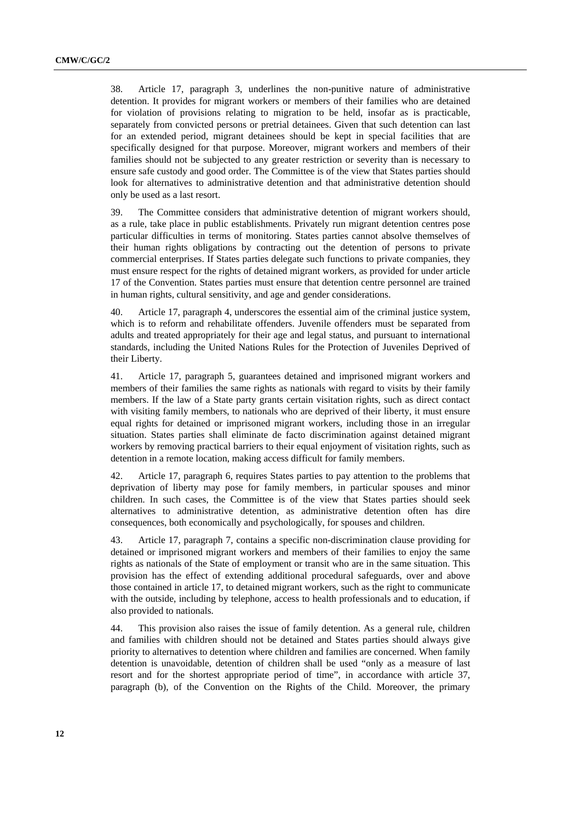38. Article 17, paragraph 3, underlines the non-punitive nature of administrative detention. It provides for migrant workers or members of their families who are detained for violation of provisions relating to migration to be held, insofar as is practicable, separately from convicted persons or pretrial detainees. Given that such detention can last for an extended period, migrant detainees should be kept in special facilities that are specifically designed for that purpose. Moreover, migrant workers and members of their families should not be subjected to any greater restriction or severity than is necessary to ensure safe custody and good order. The Committee is of the view that States parties should look for alternatives to administrative detention and that administrative detention should only be used as a last resort.

39. The Committee considers that administrative detention of migrant workers should, as a rule, take place in public establishments. Privately run migrant detention centres pose particular difficulties in terms of monitoring. States parties cannot absolve themselves of their human rights obligations by contracting out the detention of persons to private commercial enterprises. If States parties delegate such functions to private companies, they must ensure respect for the rights of detained migrant workers, as provided for under article 17 of the Convention. States parties must ensure that detention centre personnel are trained in human rights, cultural sensitivity, and age and gender considerations.

40. Article 17, paragraph 4, underscores the essential aim of the criminal justice system, which is to reform and rehabilitate offenders. Juvenile offenders must be separated from adults and treated appropriately for their age and legal status, and pursuant to international standards, including the United Nations Rules for the Protection of Juveniles Deprived of their Liberty.

41. Article 17, paragraph 5, guarantees detained and imprisoned migrant workers and members of their families the same rights as nationals with regard to visits by their family members. If the law of a State party grants certain visitation rights, such as direct contact with visiting family members, to nationals who are deprived of their liberty, it must ensure equal rights for detained or imprisoned migrant workers, including those in an irregular situation. States parties shall eliminate de facto discrimination against detained migrant workers by removing practical barriers to their equal enjoyment of visitation rights, such as detention in a remote location, making access difficult for family members.

42. Article 17, paragraph 6, requires States parties to pay attention to the problems that deprivation of liberty may pose for family members, in particular spouses and minor children. In such cases, the Committee is of the view that States parties should seek alternatives to administrative detention, as administrative detention often has dire consequences, both economically and psychologically, for spouses and children.

43. Article 17, paragraph 7, contains a specific non-discrimination clause providing for detained or imprisoned migrant workers and members of their families to enjoy the same rights as nationals of the State of employment or transit who are in the same situation. This provision has the effect of extending additional procedural safeguards, over and above those contained in article 17, to detained migrant workers, such as the right to communicate with the outside, including by telephone, access to health professionals and to education, if also provided to nationals.

44. This provision also raises the issue of family detention. As a general rule, children and families with children should not be detained and States parties should always give priority to alternatives to detention where children and families are concerned. When family detention is unavoidable, detention of children shall be used "only as a measure of last resort and for the shortest appropriate period of time", in accordance with article 37, paragraph (b), of the Convention on the Rights of the Child. Moreover, the primary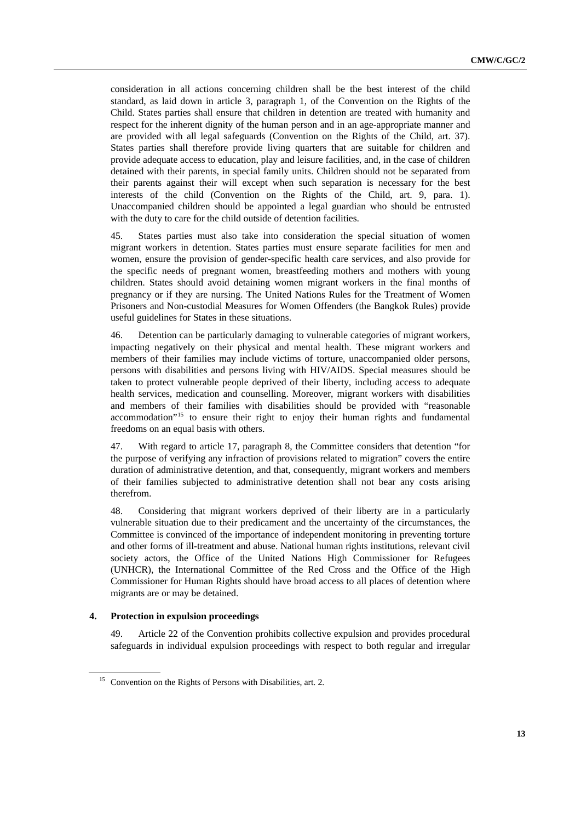consideration in all actions concerning children shall be the best interest of the child standard, as laid down in article 3, paragraph 1, of the Convention on the Rights of the Child. States parties shall ensure that children in detention are treated with humanity and respect for the inherent dignity of the human person and in an age-appropriate manner and are provided with all legal safeguards (Convention on the Rights of the Child, art. 37). States parties shall therefore provide living quarters that are suitable for children and provide adequate access to education, play and leisure facilities, and, in the case of children detained with their parents, in special family units. Children should not be separated from their parents against their will except when such separation is necessary for the best interests of the child (Convention on the Rights of the Child, art. 9, para. 1). Unaccompanied children should be appointed a legal guardian who should be entrusted with the duty to care for the child outside of detention facilities.

45. States parties must also take into consideration the special situation of women migrant workers in detention. States parties must ensure separate facilities for men and women, ensure the provision of gender-specific health care services, and also provide for the specific needs of pregnant women, breastfeeding mothers and mothers with young children. States should avoid detaining women migrant workers in the final months of pregnancy or if they are nursing. The United Nations Rules for the Treatment of Women Prisoners and Non-custodial Measures for Women Offenders (the Bangkok Rules) provide useful guidelines for States in these situations.

46. Detention can be particularly damaging to vulnerable categories of migrant workers, impacting negatively on their physical and mental health. These migrant workers and members of their families may include victims of torture, unaccompanied older persons, persons with disabilities and persons living with HIV/AIDS. Special measures should be taken to protect vulnerable people deprived of their liberty, including access to adequate health services, medication and counselling. Moreover, migrant workers with disabilities and members of their families with disabilities should be provided with "reasonable accommodation"<sup>[15](#page-12-0)</sup> to ensure their right to enjoy their human rights and fundamental freedoms on an equal basis with others.

47. With regard to article 17, paragraph 8, the Committee considers that detention "for the purpose of verifying any infraction of provisions related to migration" covers the entire duration of administrative detention, and that, consequently, migrant workers and members of their families subjected to administrative detention shall not bear any costs arising therefrom.

48. Considering that migrant workers deprived of their liberty are in a particularly vulnerable situation due to their predicament and the uncertainty of the circumstances, the Committee is convinced of the importance of independent monitoring in preventing torture and other forms of ill-treatment and abuse. National human rights institutions, relevant civil society actors, the Office of the United Nations High Commissioner for Refugees (UNHCR), the International Committee of the Red Cross and the Office of the High Commissioner for Human Rights should have broad access to all places of detention where migrants are or may be detained.

#### **4. Protection in expulsion proceedings**

49. Article 22 of the Convention prohibits collective expulsion and provides procedural safeguards in individual expulsion proceedings with respect to both regular and irregular

<span id="page-12-0"></span> $15$  Convention on the Rights of Persons with Disabilities, art. 2.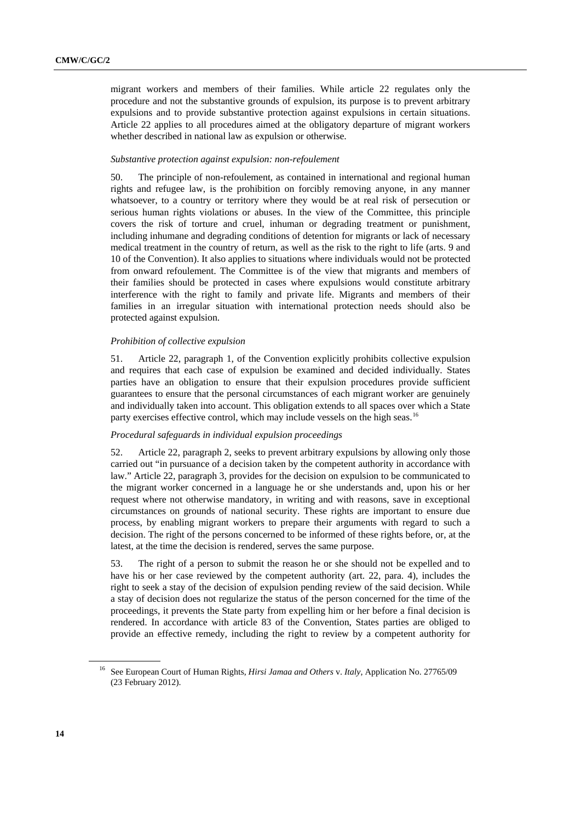migrant workers and members of their families. While article 22 regulates only the procedure and not the substantive grounds of expulsion, its purpose is to prevent arbitrary expulsions and to provide substantive protection against expulsions in certain situations. Article 22 applies to all procedures aimed at the obligatory departure of migrant workers whether described in national law as expulsion or otherwise.

#### *Substantive protection against expulsion: non-refoulement*

50. The principle of non-refoulement, as contained in international and regional human rights and refugee law, is the prohibition on forcibly removing anyone, in any manner whatsoever, to a country or territory where they would be at real risk of persecution or serious human rights violations or abuses. In the view of the Committee, this principle covers the risk of torture and cruel, inhuman or degrading treatment or punishment, including inhumane and degrading conditions of detention for migrants or lack of necessary medical treatment in the country of return, as well as the risk to the right to life (arts. 9 and 10 of the Convention). It also applies to situations where individuals would not be protected from onward refoulement. The Committee is of the view that migrants and members of their families should be protected in cases where expulsions would constitute arbitrary interference with the right to family and private life. Migrants and members of their families in an irregular situation with international protection needs should also be protected against expulsion.

#### *Prohibition of collective expulsion*

51. Article 22, paragraph 1, of the Convention explicitly prohibits collective expulsion and requires that each case of expulsion be examined and decided individually. States parties have an obligation to ensure that their expulsion procedures provide sufficient guarantees to ensure that the personal circumstances of each migrant worker are genuinely and individually taken into account. This obligation extends to all spaces over which a State party exercises effective control, which may include vessels on the high seas.<sup>[16](#page-13-0)</sup>

#### *Procedural safeguards in individual expulsion proceedings*

52. Article 22, paragraph 2, seeks to prevent arbitrary expulsions by allowing only those carried out "in pursuance of a decision taken by the competent authority in accordance with law." Article 22, paragraph 3, provides for the decision on expulsion to be communicated to the migrant worker concerned in a language he or she understands and, upon his or her request where not otherwise mandatory, in writing and with reasons, save in exceptional circumstances on grounds of national security. These rights are important to ensure due process, by enabling migrant workers to prepare their arguments with regard to such a decision. The right of the persons concerned to be informed of these rights before, or, at the latest, at the time the decision is rendered, serves the same purpose.

53. The right of a person to submit the reason he or she should not be expelled and to have his or her case reviewed by the competent authority (art. 22, para. 4), includes the right to seek a stay of the decision of expulsion pending review of the said decision. While a stay of decision does not regularize the status of the person concerned for the time of the proceedings, it prevents the State party from expelling him or her before a final decision is rendered. In accordance with article 83 of the Convention, States parties are obliged to provide an effective remedy, including the right to review by a competent authority for

<span id="page-13-0"></span><sup>16</sup> See European Court of Human Rights, *Hirsi Jamaa and Others* v. *Italy*, Application No. 27765/09 (23 February 2012).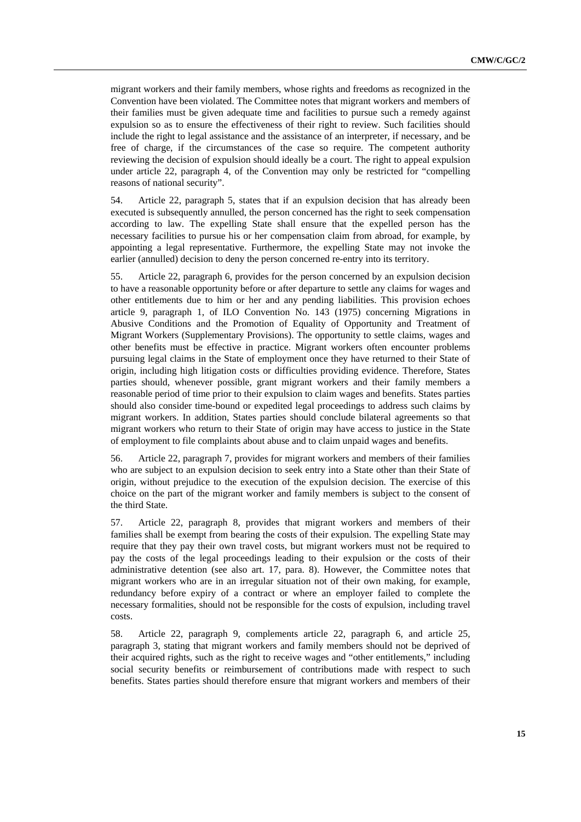migrant workers and their family members, whose rights and freedoms as recognized in the Convention have been violated. The Committee notes that migrant workers and members of their families must be given adequate time and facilities to pursue such a remedy against expulsion so as to ensure the effectiveness of their right to review. Such facilities should include the right to legal assistance and the assistance of an interpreter, if necessary, and be free of charge, if the circumstances of the case so require. The competent authority reviewing the decision of expulsion should ideally be a court. The right to appeal expulsion under article 22, paragraph 4, of the Convention may only be restricted for "compelling reasons of national security".

54. Article 22, paragraph 5, states that if an expulsion decision that has already been executed is subsequently annulled, the person concerned has the right to seek compensation according to law. The expelling State shall ensure that the expelled person has the necessary facilities to pursue his or her compensation claim from abroad, for example, by appointing a legal representative. Furthermore, the expelling State may not invoke the earlier (annulled) decision to deny the person concerned re-entry into its territory.

55. Article 22, paragraph 6, provides for the person concerned by an expulsion decision to have a reasonable opportunity before or after departure to settle any claims for wages and other entitlements due to him or her and any pending liabilities. This provision echoes article 9, paragraph 1, of ILO Convention No. 143 (1975) concerning Migrations in Abusive Conditions and the Promotion of Equality of Opportunity and Treatment of Migrant Workers (Supplementary Provisions). The opportunity to settle claims, wages and other benefits must be effective in practice. Migrant workers often encounter problems pursuing legal claims in the State of employment once they have returned to their State of origin, including high litigation costs or difficulties providing evidence. Therefore, States parties should, whenever possible, grant migrant workers and their family members a reasonable period of time prior to their expulsion to claim wages and benefits. States parties should also consider time-bound or expedited legal proceedings to address such claims by migrant workers. In addition, States parties should conclude bilateral agreements so that migrant workers who return to their State of origin may have access to justice in the State of employment to file complaints about abuse and to claim unpaid wages and benefits.

56. Article 22, paragraph 7, provides for migrant workers and members of their families who are subject to an expulsion decision to seek entry into a State other than their State of origin, without prejudice to the execution of the expulsion decision. The exercise of this choice on the part of the migrant worker and family members is subject to the consent of the third State.

57. Article 22, paragraph 8, provides that migrant workers and members of their families shall be exempt from bearing the costs of their expulsion. The expelling State may require that they pay their own travel costs, but migrant workers must not be required to pay the costs of the legal proceedings leading to their expulsion or the costs of their administrative detention (see also art. 17, para. 8). However, the Committee notes that migrant workers who are in an irregular situation not of their own making, for example, redundancy before expiry of a contract or where an employer failed to complete the necessary formalities, should not be responsible for the costs of expulsion, including travel costs.

58. Article 22, paragraph 9, complements article 22, paragraph 6, and article 25, paragraph 3, stating that migrant workers and family members should not be deprived of their acquired rights, such as the right to receive wages and "other entitlements," including social security benefits or reimbursement of contributions made with respect to such benefits. States parties should therefore ensure that migrant workers and members of their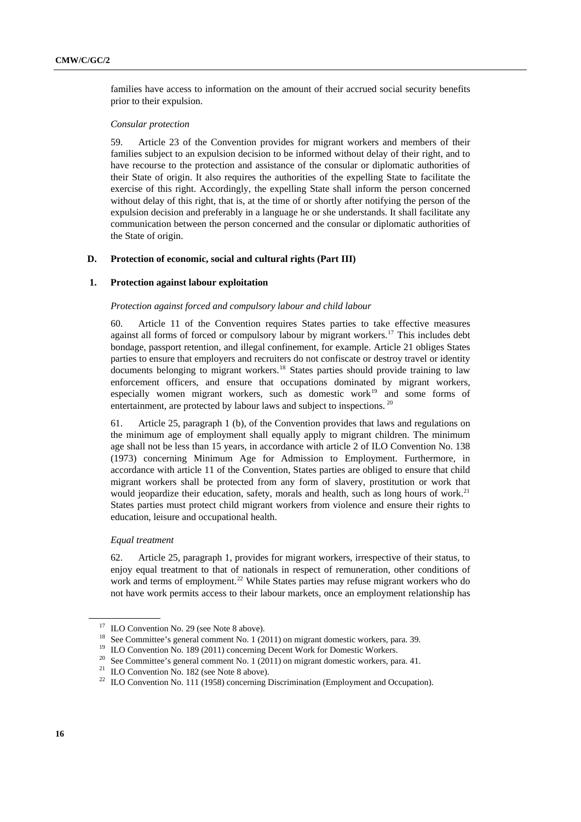families have access to information on the amount of their accrued social security benefits prior to their expulsion.

### *Consular protection*

59. Article 23 of the Convention provides for migrant workers and members of their families subject to an expulsion decision to be informed without delay of their right, and to have recourse to the protection and assistance of the consular or diplomatic authorities of their State of origin. It also requires the authorities of the expelling State to facilitate the exercise of this right. Accordingly, the expelling State shall inform the person concerned without delay of this right, that is, at the time of or shortly after notifying the person of the expulsion decision and preferably in a language he or she understands. It shall facilitate any communication between the person concerned and the consular or diplomatic authorities of the State of origin.

### **D. Protection of economic, social and cultural rights (Part III)**

## **1. Protection against labour exploitation**

#### *Protection against forced and compulsory labour and child labour*

60. Article 11 of the Convention requires States parties to take effective measures against all forms of forced or compulsory labour by migrant workers.<sup>[17](#page-15-0)</sup> This includes debt bondage, passport retention, and illegal confinement, for example. Article 21 obliges States parties to ensure that employers and recruiters do not confiscate or destroy travel or identity documents belonging to migrant workers.<sup>[18](#page-15-1)</sup> States parties should provide training to law enforcement officers, and ensure that occupations dominated by migrant workers, especially women migrant workers, such as domestic work<sup>[19](#page-15-2)</sup> and some forms of entertainment, are protected by labour laws and subject to inspections.<sup>[20](#page-15-3)</sup>

61. Article 25, paragraph 1 (b), of the Convention provides that laws and regulations on the minimum age of employment shall equally apply to migrant children. The minimum age shall not be less than 15 years, in accordance with article 2 of ILO Convention No. 138 (1973) concerning Minimum Age for Admission to Employment. Furthermore, in accordance with article 11 of the Convention, States parties are obliged to ensure that child migrant workers shall be protected from any form of slavery, prostitution or work that would jeopardize their education, safety, morals and health, such as long hours of work.<sup>21</sup> States parties must protect child migrant workers from violence and ensure their rights to education, leisure and occupational health.

## *Equal treatment*

62. Article 25, paragraph 1, provides for migrant workers, irrespective of their status, to enjoy equal treatment to that of nationals in respect of remuneration, other conditions of work and terms of employment.<sup>[22](#page-15-5)</sup> While States parties may refuse migrant workers who do not have work permits access to their labour markets, once an employment relationship has

<span id="page-15-0"></span><sup>&</sup>lt;sup>17</sup> ILO Convention No. 29 (see Note 8 above).

<span id="page-15-1"></span><sup>&</sup>lt;sup>18</sup> See Committee's general comment No. 1 (2011) on migrant domestic workers, para. 39.<br><sup>19</sup> ILO Convention No. 189 (2011) concerning Decent Work for Domestic Workers.

<span id="page-15-2"></span>

<sup>&</sup>lt;sup>20</sup> See Committee's general comment No. 1 (2011) on migrant domestic workers, para. 41.<br><sup>21</sup> ILO Convention No. 182 (see Note 8 above).

<span id="page-15-4"></span><span id="page-15-3"></span>

<span id="page-15-5"></span><sup>&</sup>lt;sup>22</sup> ILO Convention No. 111 (1958) concerning Discrimination (Employment and Occupation).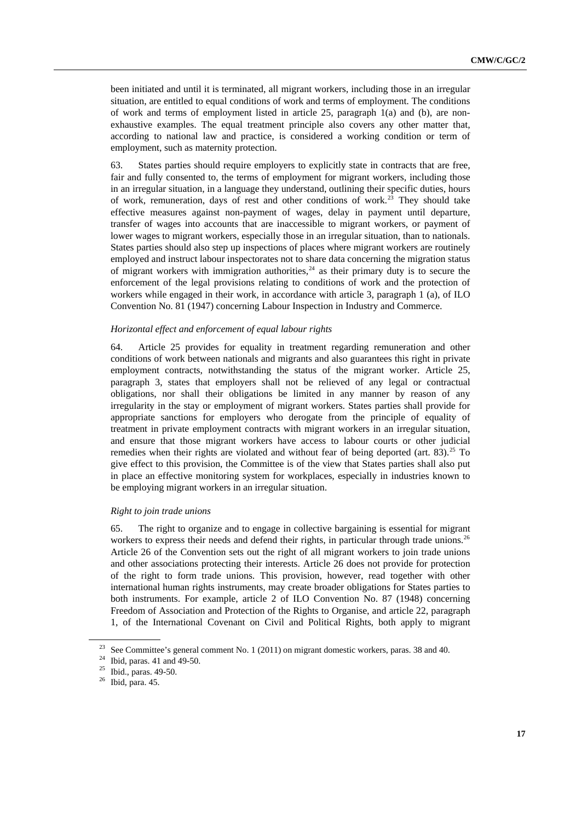been initiated and until it is terminated, all migrant workers, including those in an irregular situation, are entitled to equal conditions of work and terms of employment. The conditions of work and terms of employment listed in article 25, paragraph 1(a) and (b), are nonexhaustive examples. The equal treatment principle also covers any other matter that, according to national law and practice, is considered a working condition or term of employment, such as maternity protection.

63. States parties should require employers to explicitly state in contracts that are free, fair and fully consented to, the terms of employment for migrant workers, including those in an irregular situation, in a language they understand, outlining their specific duties, hours of work, remuneration, days of rest and other conditions of work.<sup>[23](#page-16-0)</sup> They should take effective measures against non-payment of wages, delay in payment until departure, transfer of wages into accounts that are inaccessible to migrant workers, or payment of lower wages to migrant workers, especially those in an irregular situation, than to nationals. States parties should also step up inspections of places where migrant workers are routinely employed and instruct labour inspectorates not to share data concerning the migration status of migrant workers with immigration authorities,  $24$  as their primary duty is to secure the enforcement of the legal provisions relating to conditions of work and the protection of workers while engaged in their work, in accordance with article 3, paragraph 1 (a), of ILO Convention No. 81 (1947) concerning Labour Inspection in Industry and Commerce.

### *Horizontal effect and enforcement of equal labour rights*

64. Article 25 provides for equality in treatment regarding remuneration and other conditions of work between nationals and migrants and also guarantees this right in private employment contracts, notwithstanding the status of the migrant worker. Article 25, paragraph 3, states that employers shall not be relieved of any legal or contractual obligations, nor shall their obligations be limited in any manner by reason of any irregularity in the stay or employment of migrant workers. States parties shall provide for appropriate sanctions for employers who derogate from the principle of equality of treatment in private employment contracts with migrant workers in an irregular situation, and ensure that those migrant workers have access to labour courts or other judicial remedies when their rights are violated and without fear of being deported (art. 83).<sup>[25](#page-16-2)</sup> To give effect to this provision, the Committee is of the view that States parties shall also put in place an effective monitoring system for workplaces, especially in industries known to be employing migrant workers in an irregular situation.

## *Right to join trade unions*

65. The right to organize and to engage in collective bargaining is essential for migrant workers to express their needs and defend their rights, in particular through trade unions.<sup>26</sup> Article 26 of the Convention sets out the right of all migrant workers to join trade unions and other associations protecting their interests. Article 26 does not provide for protection of the right to form trade unions. This provision, however, read together with other international human rights instruments, may create broader obligations for States parties to both instruments. For example, article 2 of ILO Convention No. 87 (1948) concerning Freedom of Association and Protection of the Rights to Organise, and article 22, paragraph 1, of the International Covenant on Civil and Political Rights, both apply to migrant

<span id="page-16-0"></span><sup>&</sup>lt;sup>23</sup> See Committee's general comment No. 1 (2011) on migrant domestic workers, paras. 38 and 40.<br><sup>24</sup> Ibid. paras. 41 and 49-50.

<span id="page-16-2"></span><span id="page-16-1"></span><sup>25</sup> Ibid., paras. 49-50.

<span id="page-16-3"></span> $26$  Ibid, para. 45.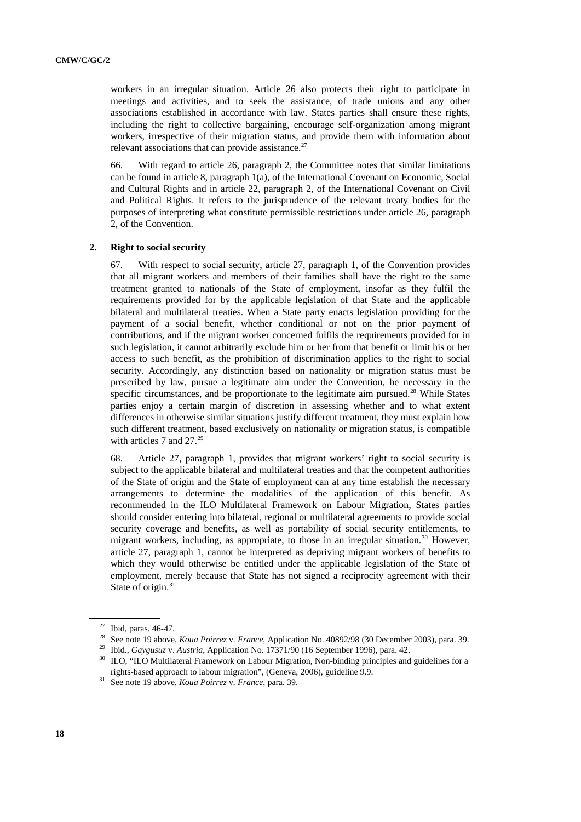workers in an irregular situation. Article 26 also protects their right to participate in meetings and activities, and to seek the assistance, of trade unions and any other associations established in accordance with law. States parties shall ensure these rights, including the right to collective bargaining, encourage self-organization among migrant workers, irrespective of their migration status, and provide them with information about relevant associations that can provide assistance.<sup>[27](#page-17-0)</sup>

66. With regard to article 26, paragraph 2, the Committee notes that similar limitations can be found in article 8, paragraph 1(a), of the International Covenant on Economic, Social and Cultural Rights and in article 22, paragraph 2, of the International Covenant on Civil and Political Rights. It refers to the jurisprudence of the relevant treaty bodies for the purposes of interpreting what constitute permissible restrictions under article 26, paragraph 2, of the Convention.

#### **2. Right to social security**

67. With respect to social security, article 27, paragraph 1, of the Convention provides that all migrant workers and members of their families shall have the right to the same treatment granted to nationals of the State of employment, insofar as they fulfil the requirements provided for by the applicable legislation of that State and the applicable bilateral and multilateral treaties. When a State party enacts legislation providing for the payment of a social benefit, whether conditional or not on the prior payment of contributions, and if the migrant worker concerned fulfils the requirements provided for in such legislation, it cannot arbitrarily exclude him or her from that benefit or limit his or her access to such benefit, as the prohibition of discrimination applies to the right to social security. Accordingly, any distinction based on nationality or migration status must be prescribed by law, pursue a legitimate aim under the Convention, be necessary in the specific circumstances, and be proportionate to the legitimate aim pursued.<sup>[28](#page-17-1)</sup> While States parties enjoy a certain margin of discretion in assessing whether and to what extent differences in otherwise similar situations justify different treatment, they must explain how such different treatment, based exclusively on nationality or migration status, is compatible with articles 7 and  $27.^{29}$ 

68. Article 27, paragraph 1, provides that migrant workers' right to social security is subject to the applicable bilateral and multilateral treaties and that the competent authorities of the State of origin and the State of employment can at any time establish the necessary arrangements to determine the modalities of the application of this benefit. As recommended in the ILO Multilateral Framework on Labour Migration, States parties should consider entering into bilateral, regional or multilateral agreements to provide social security coverage and benefits, as well as portability of social security entitlements, to migrant workers, including, as appropriate, to those in an irregular situation.[30](#page-17-3) However, article 27, paragraph 1, cannot be interpreted as depriving migrant workers of benefits to which they would otherwise be entitled under the applicable legislation of the State of employment, merely because that State has not signed a reciprocity agreement with their State of origin.<sup>[31](#page-17-4)</sup>

<span id="page-17-1"></span><span id="page-17-0"></span>

<sup>&</sup>lt;sup>27</sup> Ibid, paras. 46-47.<br><sup>28</sup> See note 19 above, *Koua Poirrez v. France*, Application No. 40892/98 (30 December 2003), para. 39.

<span id="page-17-3"></span><span id="page-17-2"></span><sup>&</sup>lt;sup>29</sup> Ibid., *Gaygusuz v. Austria*, Application No. 17371/90 (16 September 1996), para. 42.<br><sup>30</sup> ILO, "ILO Multilateral Framework on Labour Migration, Non-binding principles and guidelines for a rights-based approach to labour migration", (Geneva, 2006), guideline 9.9. 31 See note 19 above, *Koua Poirrez* v*. France*, para. 39.

<span id="page-17-4"></span>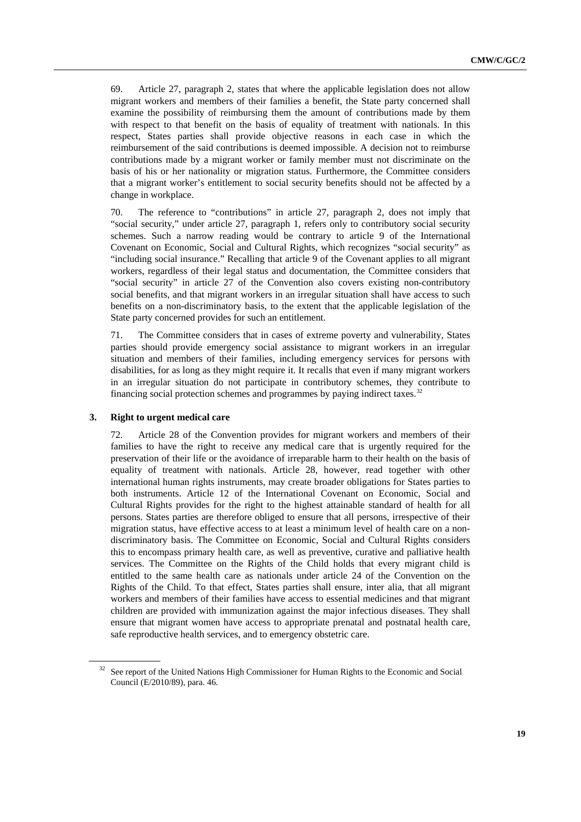69. Article 27, paragraph 2, states that where the applicable legislation does not allow migrant workers and members of their families a benefit, the State party concerned shall examine the possibility of reimbursing them the amount of contributions made by them with respect to that benefit on the basis of equality of treatment with nationals. In this respect, States parties shall provide objective reasons in each case in which the reimbursement of the said contributions is deemed impossible. A decision not to reimburse contributions made by a migrant worker or family member must not discriminate on the basis of his or her nationality or migration status. Furthermore, the Committee considers that a migrant worker's entitlement to social security benefits should not be affected by a change in workplace.

70. The reference to "contributions" in article 27, paragraph 2, does not imply that "social security," under article 27, paragraph 1, refers only to contributory social security schemes. Such a narrow reading would be contrary to article 9 of the International Covenant on Economic, Social and Cultural Rights, which recognizes "social security" as "including social insurance." Recalling that article 9 of the Covenant applies to all migrant workers, regardless of their legal status and documentation, the Committee considers that "social security" in article 27 of the Convention also covers existing non-contributory social benefits, and that migrant workers in an irregular situation shall have access to such benefits on a non-discriminatory basis, to the extent that the applicable legislation of the State party concerned provides for such an entitlement.

71. The Committee considers that in cases of extreme poverty and vulnerability, States parties should provide emergency social assistance to migrant workers in an irregular situation and members of their families, including emergency services for persons with disabilities, for as long as they might require it. It recalls that even if many migrant workers in an irregular situation do not participate in contributory schemes, they contribute to financing social protection schemes and programmes by paying indirect taxes.<sup>[32](#page-18-0)</sup>

### **3. Right to urgent medical care**

72. Article 28 of the Convention provides for migrant workers and members of their families to have the right to receive any medical care that is urgently required for the preservation of their life or the avoidance of irreparable harm to their health on the basis of equality of treatment with nationals. Article 28, however, read together with other international human rights instruments, may create broader obligations for States parties to both instruments. Article 12 of the International Covenant on Economic, Social and Cultural Rights provides for the right to the highest attainable standard of health for all persons. States parties are therefore obliged to ensure that all persons, irrespective of their migration status, have effective access to at least a minimum level of health care on a nondiscriminatory basis. The Committee on Economic, Social and Cultural Rights considers this to encompass primary health care, as well as preventive, curative and palliative health services. The Committee on the Rights of the Child holds that every migrant child is entitled to the same health care as nationals under article 24 of the Convention on the Rights of the Child. To that effect, States parties shall ensure, inter alia, that all migrant workers and members of their families have access to essential medicines and that migrant children are provided with immunization against the major infectious diseases. They shall ensure that migrant women have access to appropriate prenatal and postnatal health care, safe reproductive health services, and to emergency obstetric care.

<span id="page-18-0"></span><sup>32</sup> See report of the United Nations High Commissioner for Human Rights to the Economic and Social Council (E/2010/89), para. 46.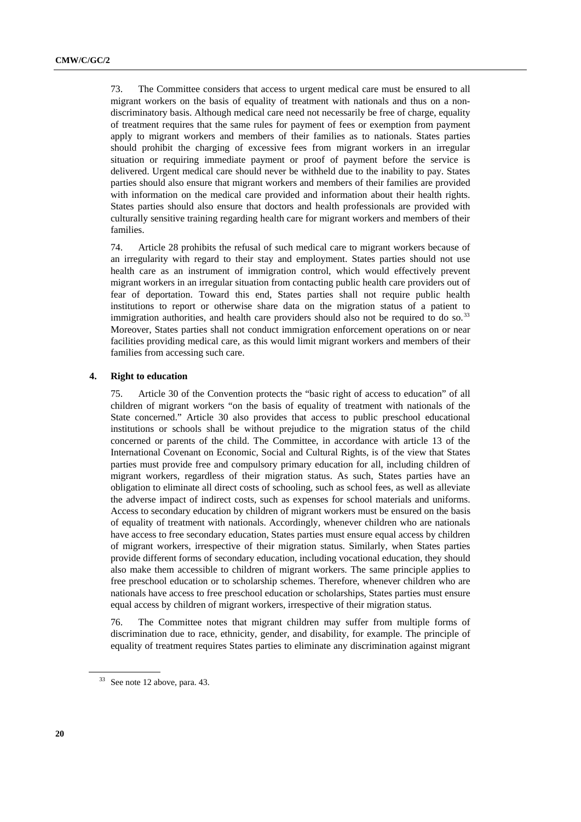73. The Committee considers that access to urgent medical care must be ensured to all migrant workers on the basis of equality of treatment with nationals and thus on a nondiscriminatory basis. Although medical care need not necessarily be free of charge, equality of treatment requires that the same rules for payment of fees or exemption from payment apply to migrant workers and members of their families as to nationals. States parties should prohibit the charging of excessive fees from migrant workers in an irregular situation or requiring immediate payment or proof of payment before the service is delivered. Urgent medical care should never be withheld due to the inability to pay. States parties should also ensure that migrant workers and members of their families are provided with information on the medical care provided and information about their health rights. States parties should also ensure that doctors and health professionals are provided with culturally sensitive training regarding health care for migrant workers and members of their families.

74. Article 28 prohibits the refusal of such medical care to migrant workers because of an irregularity with regard to their stay and employment. States parties should not use health care as an instrument of immigration control, which would effectively prevent migrant workers in an irregular situation from contacting public health care providers out of fear of deportation. Toward this end, States parties shall not require public health institutions to report or otherwise share data on the migration status of a patient to immigration authorities, and health care providers should also not be required to do so.<sup>[33](#page-19-0)</sup> Moreover, States parties shall not conduct immigration enforcement operations on or near facilities providing medical care, as this would limit migrant workers and members of their families from accessing such care.

#### **4. Right to education**

75. Article 30 of the Convention protects the "basic right of access to education" of all children of migrant workers "on the basis of equality of treatment with nationals of the State concerned." Article 30 also provides that access to public preschool educational institutions or schools shall be without prejudice to the migration status of the child concerned or parents of the child. The Committee, in accordance with article 13 of the International Covenant on Economic, Social and Cultural Rights, is of the view that States parties must provide free and compulsory primary education for all, including children of migrant workers, regardless of their migration status. As such, States parties have an obligation to eliminate all direct costs of schooling, such as school fees, as well as alleviate the adverse impact of indirect costs, such as expenses for school materials and uniforms. Access to secondary education by children of migrant workers must be ensured on the basis of equality of treatment with nationals. Accordingly, whenever children who are nationals have access to free secondary education, States parties must ensure equal access by children of migrant workers, irrespective of their migration status. Similarly, when States parties provide different forms of secondary education, including vocational education, they should also make them accessible to children of migrant workers. The same principle applies to free preschool education or to scholarship schemes. Therefore, whenever children who are nationals have access to free preschool education or scholarships, States parties must ensure equal access by children of migrant workers, irrespective of their migration status.

76. The Committee notes that migrant children may suffer from multiple forms of discrimination due to race, ethnicity, gender, and disability, for example. The principle of equality of treatment requires States parties to eliminate any discrimination against migrant

<span id="page-19-0"></span> $33$  See note 12 above, para. 43.